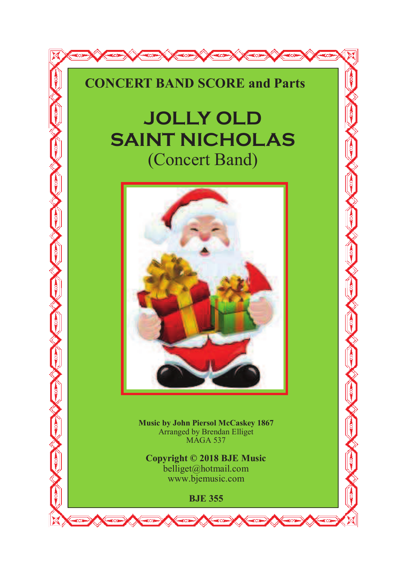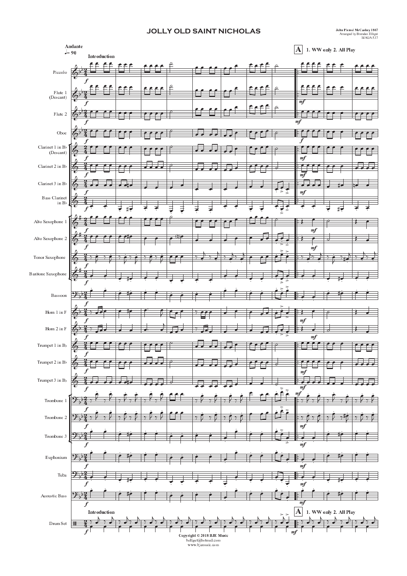## **JOLLY OLD SAINT NICHO**

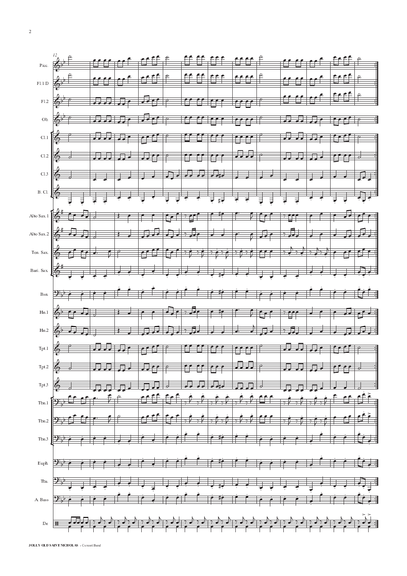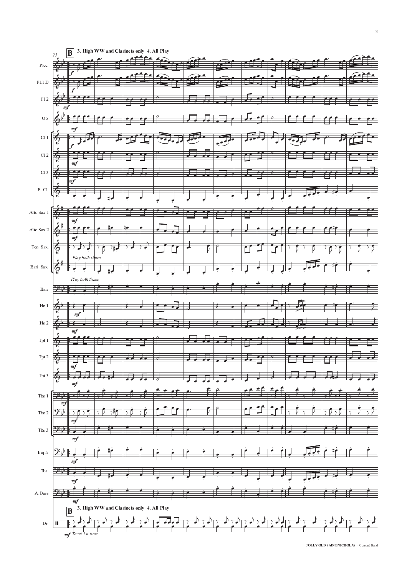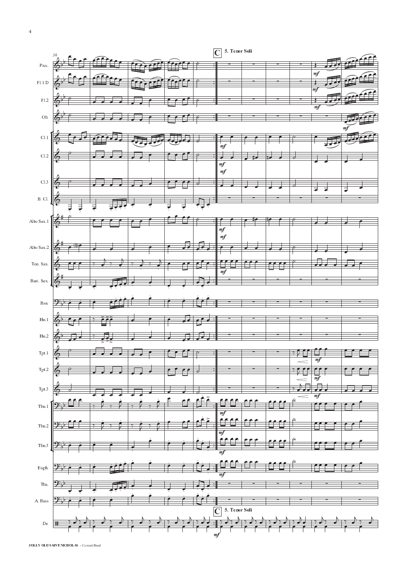

**JOLLY OLD SAINT NICHOLAS** - Concert Band

 $\overline{4}$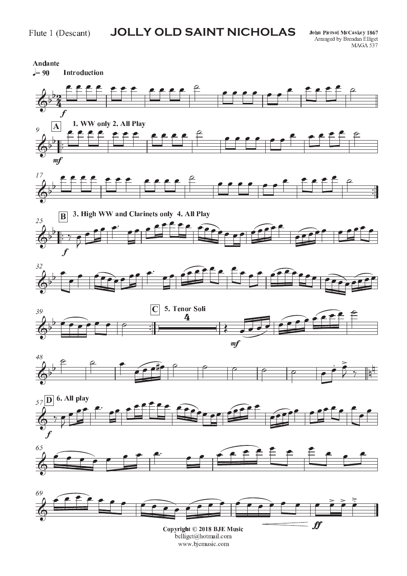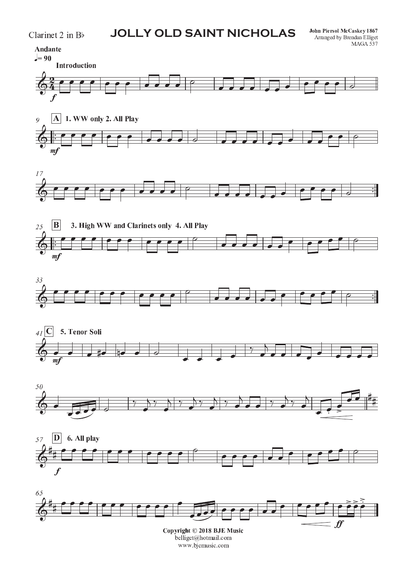**JOLLY OLD SAINT NICHO** 



www. bismuda oo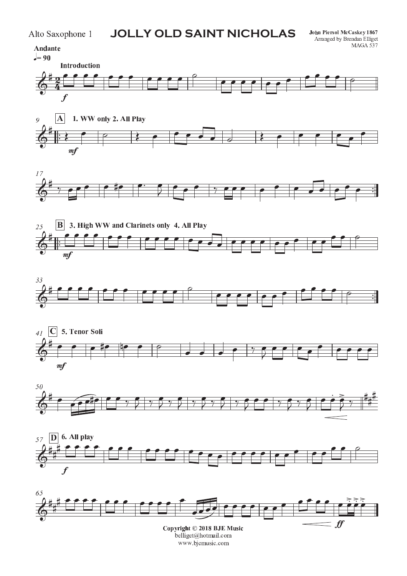$\overline{9}$ 

 $17$ 

 $25$ 

33

65

**JOLLY OLD SAINT NICHOLAS** 

 $\frac{1}{4}$ 

## Andante  $= 90$ Introduction  $\overrightarrow{d}$  $\overline{f}$ 1. WW only 2. All Play  $|{\bf A}|$ 老  $\overline{\phantom{a}}$  $m f$ **TG** 3. High WW and Clarinets only 4. All Play  $|{\bf B}|$  $m f$  $\overline{C}$  5. Tenor Soli  $41$  $m f$ 50  $\boxed{\mathbf{D}}$  6. All play  $57$  $\boldsymbol{f}$  $=$   $\mathbf{f}$ f Copyright © 2018 BJE Music belliget@hotmail.com www.bjemusic.com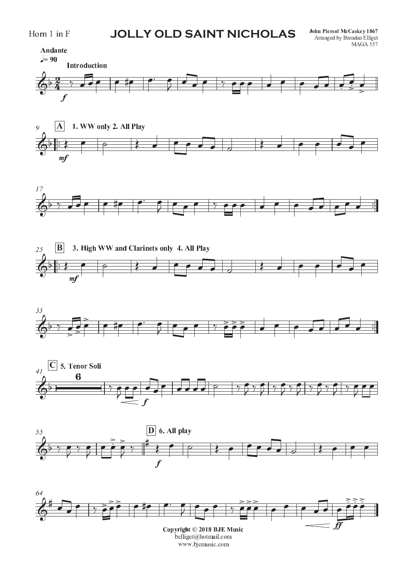**JOLLY OLD SAINT NICHOLAS** 

Ĥ



 $\mathbf{v}$  e t e t m a i l i l  $\mathbf{v}$  $\mathbb{R}^n$  where  $\mathbb{R}^n$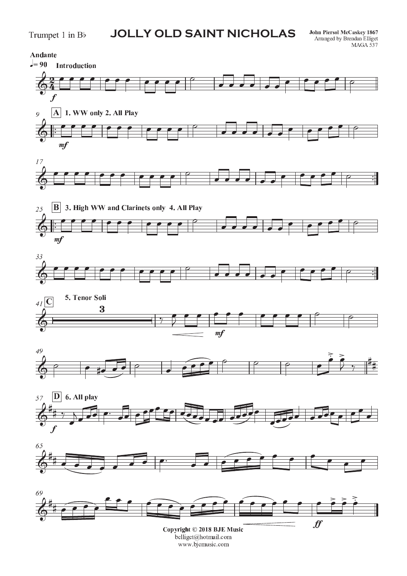**JOLLY OLD SAINT NICHO** 

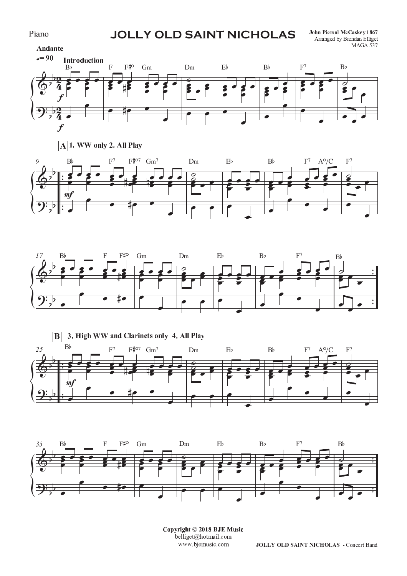**JOLLY OLD SAINT NICHOLAS** 













Copyright © 2018 BJE Music belliget@hotmail.com www.bjemusic.com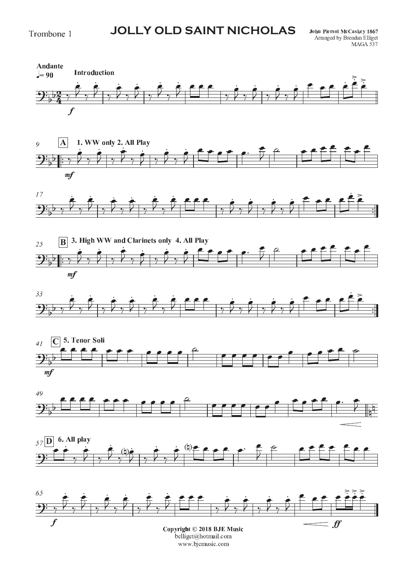